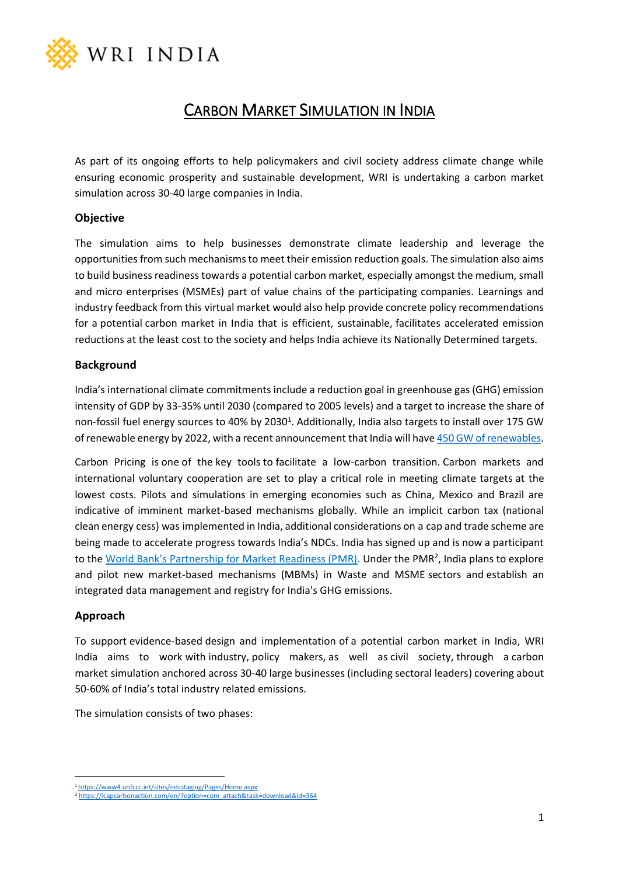

# CARBON MARKET SIMULATION IN INDIA

As part of its ongoing efforts to help policymakers and civil society address climate change while ensuring economic prosperity and sustainable development, WRI is undertaking a carbon market simulation across 30-40 large companies in India.

### **Objective**

The simulation aims to help businesses demonstrate climate leadership and leverage the opportunities from such mechanisms to meet their emission reduction goals. The simulation also aims to build business readiness towards a potential carbon market, especially amongst the medium, small and micro enterprises (MSMEs) part of value chains of the participating companies. Learnings and industry feedback from this virtual market would also help provide concrete policy recommendations for a potential carbon market in India that is efficient, sustainable, facilitates accelerated emission reductions at the least cost to the society and helps India achieve its Nationally Determined targets.

#### **Background**

India's international climate commitments include a reduction goal in greenhouse gas (GHG) emission intensity of GDP by 33-35% until 2030 (compared to 2005 levels) and a target to increase the share of non-fossil fuel energy sources to 40% by 2030<sup>1</sup>. Additionally, India also targets to install over 175 GW of renewable energy by 2022, with a recent announcement that India will have 450 [GW of renewables.](https://economictimes.indiatimes.com/industry/energy/power/pm-modi-vows-to-more-than-double-indias-non-fossil-fuel-target-to-400-gw/articleshow/71263568.cms?from=mdr)

Carbon Pricing is one of the key tools to facilitate a low-carbon transition. Carbon markets and international voluntary cooperation are set to play a critical role in meeting climate targets at the lowest costs. Pilots and simulations in emerging economies such as China, Mexico and Brazil are indicative of imminent market-based mechanisms globally. While an implicit carbon tax (national clean energy cess) was implemented in India, additional considerations on a cap and trade scheme are being made to accelerate progress towards India's NDCs. India has signed up and is now a participant to the [World Bank's Partnership for Market Readiness \(PMR\)](https://www.thepmr.org/content/india-pilot-carbon-pricing-instruments-8-million-pmr-support). Under the PMR<sup>2</sup>, India plans to explore and pilot new market-based mechanisms (MBMs) in Waste and MSME sectors and establish an integrated data management and registry for India's GHG emissions.

#### **Approach**

To support evidence-based design and implementation of a potential carbon market in India, WRI India aims to work with industry, policy makers, as well as civil society, through a carbon market simulation anchored across 30-40 large businesses (including sectoral leaders) covering about 50-60% of India's total industry related emissions.

The simulation consists of two phases:

<sup>1</sup> <https://www4.unfccc.int/sites/ndcstaging/Pages/Home.aspx>

<sup>2</sup> [https://icapcarbonaction.com/en/?option=com\\_attach&task=download&id=364](https://icapcarbonaction.com/en/?option=com_attach&task=download&id=364)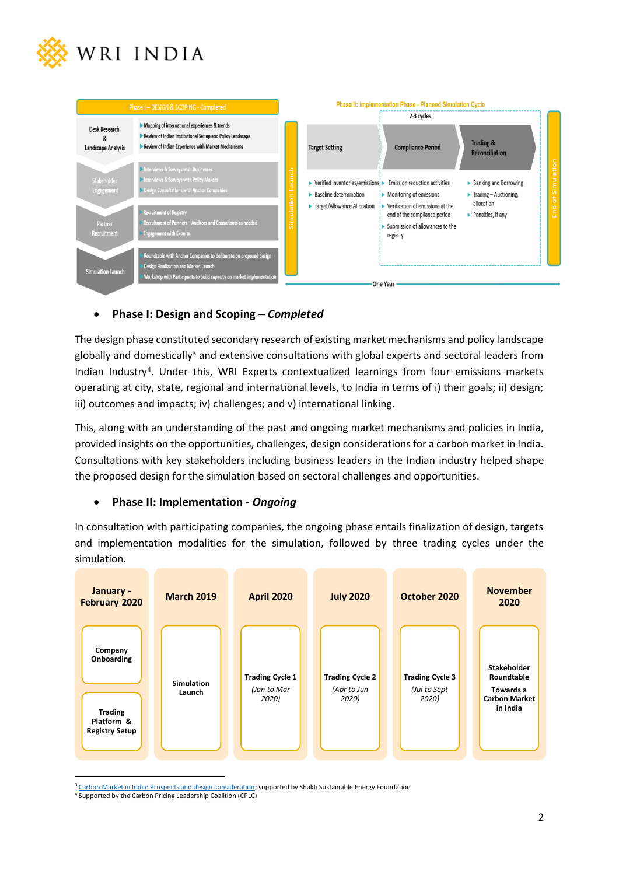



## • **Phase I: Design and Scoping –** *Completed*

The design phase constituted secondary research of existing market mechanisms and policy landscape globally and domestically<sup>3</sup> and extensive consultations with global experts and sectoral leaders from Indian Industry<sup>4</sup>. Under this, WRI Experts contextualized learnings from four emissions markets operating at city, state, regional and international levels, to India in terms of i) their goals; ii) design; iii) outcomes and impacts; iv) challenges; and v) international linking.

This, along with an understanding of the past and ongoing market mechanisms and policies in India, provided insights on the opportunities, challenges, design considerations for a carbon market in India. Consultations with key stakeholders including business leaders in the Indian industry helped shape the proposed design for the simulation based on sectoral challenges and opportunities.

### • **Phase II: Implementation -** *Ongoing*

In consultation with participating companies, the ongoing phase entails finalization of design, targets and implementation modalities for the simulation, followed by three trading cycles under the simulation.



<sup>&</sup>lt;sup>3</sup> [Carbon Market in India: Prospects and design consideration;](https://shaktifoundation.in/wp-content/uploads/2018/07/Briefing-paper-Carbon-markets-in-India.pdf) supported by Shakti Sustainable Energy Foundation

<sup>4</sup> Supported by the Carbon Pricing Leadership Coalition (CPLC)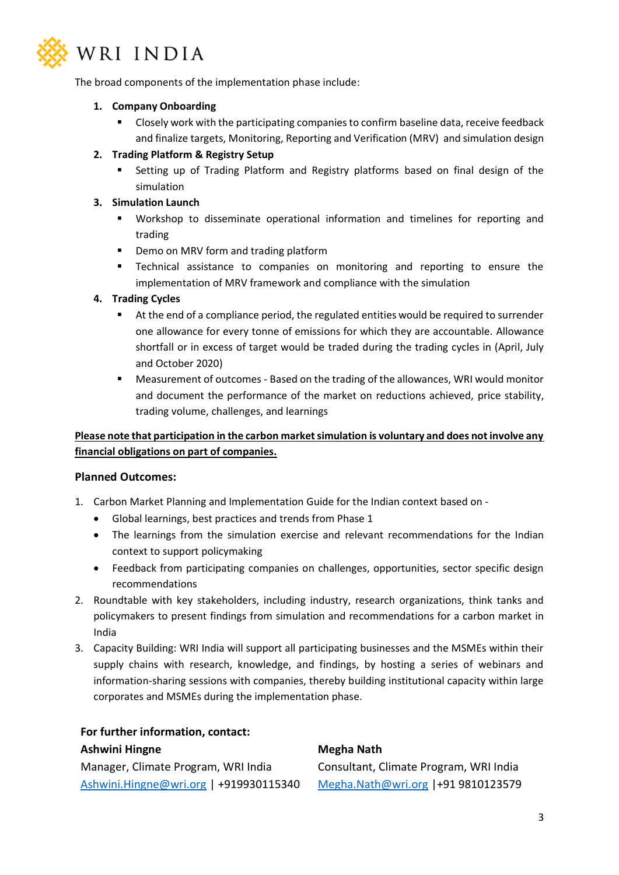

The broad components of the implementation phase include:

## **1. Company Onboarding**

■ Closely work with the participating companies to confirm baseline data, receive feedback and finalize targets, Monitoring, Reporting and Verification (MRV) and simulation design

## **2. Trading Platform & Registry Setup**

Setting up of Trading Platform and Registry platforms based on final design of the simulation

## **3. Simulation Launch**

- Workshop to disseminate operational information and timelines for reporting and trading
- Demo on MRV form and trading platform
- Technical assistance to companies on monitoring and reporting to ensure the implementation of MRV framework and compliance with the simulation

## **4. Trading Cycles**

- At the end of a compliance period, the regulated entities would be required to surrender one allowance for every tonne of emissions for which they are accountable. Allowance shortfall or in excess of target would be traded during the trading cycles in (April, July and October 2020)
- **EXECT** Measurement of outcomes Based on the trading of the allowances, WRI would monitor and document the performance of the market on reductions achieved, price stability, trading volume, challenges, and learnings

## **Please note that participation in the carbon market simulation is voluntary and does not involve any financial obligations on part of companies.**

### **Planned Outcomes:**

- 1. Carbon Market Planning and Implementation Guide for the Indian context based on
	- Global learnings, best practices and trends from Phase 1
	- The learnings from the simulation exercise and relevant recommendations for the Indian context to support policymaking
	- Feedback from participating companies on challenges, opportunities, sector specific design recommendations
- 2. Roundtable with key stakeholders, including industry, research organizations, think tanks and policymakers to present findings from simulation and recommendations for a carbon market in India
- 3. Capacity Building: WRI India will support all participating businesses and the MSMEs within their supply chains with research, knowledge, and findings, by hosting a series of webinars and information-sharing sessions with companies, thereby building institutional capacity within large corporates and MSMEs during the implementation phase.

## **For further information, contact: Ashwini Hingne** Manager, Climate Program, WRI India [Ashwini.Hingne@wri.org](mailto:Ashwini.Hingne@wri.org) | +919930115340

### **Megha Nath**

Consultant, Climate Program, WRI India [Megha.Nath@wri.org](mailto:Megha.Nath@wri.org) |+91 9810123579